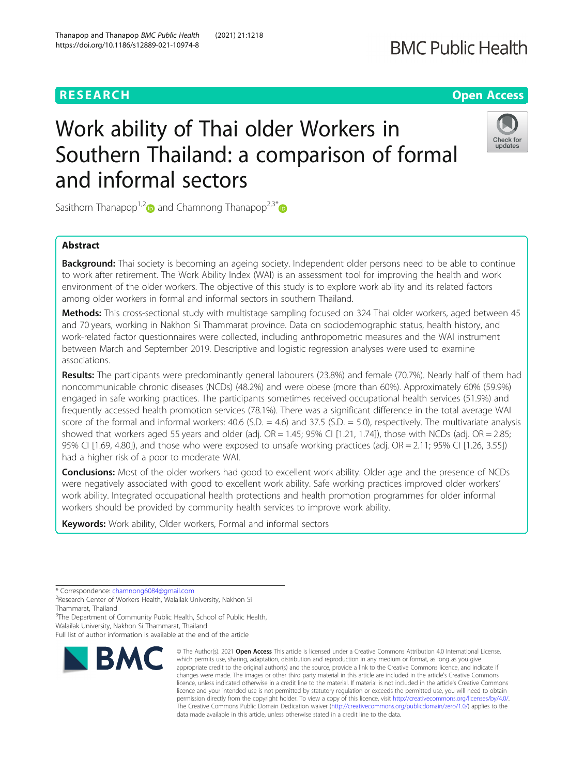# **BMC Public Health**

# **RESEARCH CHE Open Access**

# Work ability of Thai older Workers in Southern Thailand: a comparison of formal and informal sectors



Sasithorn Thanapop<sup>1,[2](https://orcid.org/0000-0002-1318-3817)</sup> and Chamnong Thanapop<sup>2,3[\\*](https://orcid.org/0000-0002-9158-7171)</sup>

# Abstract

**Background:** Thai society is becoming an ageing society. Independent older persons need to be able to continue to work after retirement. The Work Ability Index (WAI) is an assessment tool for improving the health and work environment of the older workers. The objective of this study is to explore work ability and its related factors among older workers in formal and informal sectors in southern Thailand.

Methods: This cross-sectional study with multistage sampling focused on 324 Thai older workers, aged between 45 and 70 years, working in Nakhon Si Thammarat province. Data on sociodemographic status, health history, and work-related factor questionnaires were collected, including anthropometric measures and the WAI instrument between March and September 2019. Descriptive and logistic regression analyses were used to examine associations.

Results: The participants were predominantly general labourers (23.8%) and female (70.7%). Nearly half of them had noncommunicable chronic diseases (NCDs) (48.2%) and were obese (more than 60%). Approximately 60% (59.9%) engaged in safe working practices. The participants sometimes received occupational health services (51.9%) and frequently accessed health promotion services (78.1%). There was a significant difference in the total average WAI score of the formal and informal workers:  $40.6$  (S.D. =  $4.6$ ) and  $37.5$  (S.D. =  $5.0$ ), respectively. The multivariate analysis showed that workers aged 55 years and older (adj.  $OR = 1.45$ ; 95% CI [1.21, 1.74]), those with NCDs (adj.  $OR = 2.85$ ; 95% CI [1.69, 4.80]), and those who were exposed to unsafe working practices (adj. OR = 2.11; 95% CI [1.26, 3.55]) had a higher risk of a poor to moderate WAI.

**Conclusions:** Most of the older workers had good to excellent work ability. Older age and the presence of NCDs were negatively associated with good to excellent work ability. Safe working practices improved older workers' work ability. Integrated occupational health protections and health promotion programmes for older informal workers should be provided by community health services to improve work ability.

Keywords: Work ability, Older workers, Formal and informal sectors

\* Correspondence: [chamnong6084@gmail.com](mailto:chamnong6084@gmail.com) <sup>2</sup>

<sup>2</sup>Research Center of Workers Health, Walailak University, Nakhon Si Thammarat, Thailand

<sup>3</sup>The Department of Community Public Health, School of Public Health,

Walailak University, Nakhon Si Thammarat, Thailand

Full list of author information is available at the end of the article



<sup>©</sup> The Author(s), 2021 **Open Access** This article is licensed under a Creative Commons Attribution 4.0 International License, which permits use, sharing, adaptation, distribution and reproduction in any medium or format, as long as you give appropriate credit to the original author(s) and the source, provide a link to the Creative Commons licence, and indicate if changes were made. The images or other third party material in this article are included in the article's Creative Commons licence, unless indicated otherwise in a credit line to the material. If material is not included in the article's Creative Commons licence and your intended use is not permitted by statutory regulation or exceeds the permitted use, you will need to obtain permission directly from the copyright holder. To view a copy of this licence, visit [http://creativecommons.org/licenses/by/4.0/.](http://creativecommons.org/licenses/by/4.0/) The Creative Commons Public Domain Dedication waiver [\(http://creativecommons.org/publicdomain/zero/1.0/](http://creativecommons.org/publicdomain/zero/1.0/)) applies to the data made available in this article, unless otherwise stated in a credit line to the data.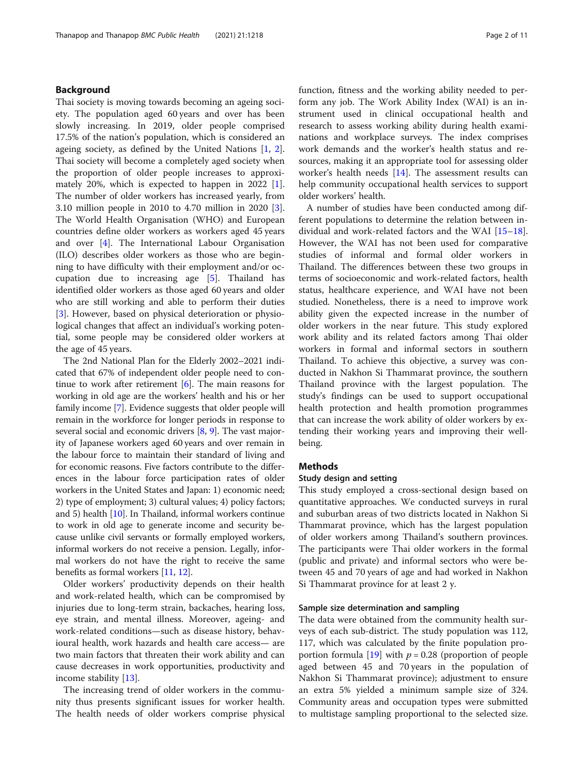# Background

Thai society is moving towards becoming an ageing society. The population aged 60 years and over has been slowly increasing. In 2019, older people comprised 17.5% of the nation's population, which is considered an ageing society, as defined by the United Nations [\[1](#page-9-0), [2](#page-9-0)]. Thai society will become a completely aged society when the proportion of older people increases to approximately 20%, which is expected to happen in 2022 [\[1](#page-9-0)]. The number of older workers has increased yearly, from 3.10 million people in 2010 to 4.70 million in 2020 [\[3](#page-10-0)]. The World Health Organisation (WHO) and European countries define older workers as workers aged 45 years and over [[4\]](#page-10-0). The International Labour Organisation (ILO) describes older workers as those who are beginning to have difficulty with their employment and/or occupation due to increasing age [\[5](#page-10-0)]. Thailand has identified older workers as those aged 60 years and older who are still working and able to perform their duties [[3\]](#page-10-0). However, based on physical deterioration or physiological changes that affect an individual's working potential, some people may be considered older workers at the age of 45 years.

The 2nd National Plan for the Elderly 2002–2021 indicated that 67% of independent older people need to continue to work after retirement  $[6]$  $[6]$ . The main reasons for working in old age are the workers' health and his or her family income [\[7\]](#page-10-0). Evidence suggests that older people will remain in the workforce for longer periods in response to several social and economic drivers [\[8,](#page-10-0) [9](#page-10-0)]. The vast majority of Japanese workers aged 60 years and over remain in the labour force to maintain their standard of living and for economic reasons. Five factors contribute to the differences in the labour force participation rates of older workers in the United States and Japan: 1) economic need; 2) type of employment; 3) cultural values; 4) policy factors; and 5) health [\[10\]](#page-10-0). In Thailand, informal workers continue to work in old age to generate income and security because unlike civil servants or formally employed workers, informal workers do not receive a pension. Legally, informal workers do not have the right to receive the same benefits as formal workers [\[11,](#page-10-0) [12](#page-10-0)].

Older workers' productivity depends on their health and work-related health, which can be compromised by injuries due to long-term strain, backaches, hearing loss, eye strain, and mental illness. Moreover, ageing- and work-related conditions—such as disease history, behavioural health, work hazards and health care access— are two main factors that threaten their work ability and can cause decreases in work opportunities, productivity and income stability [[13](#page-10-0)].

The increasing trend of older workers in the community thus presents significant issues for worker health. The health needs of older workers comprise physical function, fitness and the working ability needed to perform any job. The Work Ability Index (WAI) is an instrument used in clinical occupational health and research to assess working ability during health examinations and workplace surveys. The index comprises work demands and the worker's health status and resources, making it an appropriate tool for assessing older worker's health needs [[14\]](#page-10-0). The assessment results can help community occupational health services to support older workers' health.

A number of studies have been conducted among different populations to determine the relation between individual and work-related factors and the WAI [[15](#page-10-0)–[18](#page-10-0)]. However, the WAI has not been used for comparative studies of informal and formal older workers in Thailand. The differences between these two groups in terms of socioeconomic and work-related factors, health status, healthcare experience, and WAI have not been studied. Nonetheless, there is a need to improve work ability given the expected increase in the number of older workers in the near future. This study explored work ability and its related factors among Thai older workers in formal and informal sectors in southern Thailand. To achieve this objective, a survey was conducted in Nakhon Si Thammarat province, the southern Thailand province with the largest population. The study's findings can be used to support occupational health protection and health promotion programmes that can increase the work ability of older workers by extending their working years and improving their wellbeing.

# Methods

#### Study design and setting

This study employed a cross-sectional design based on quantitative approaches. We conducted surveys in rural and suburban areas of two districts located in Nakhon Si Thammarat province, which has the largest population of older workers among Thailand's southern provinces. The participants were Thai older workers in the formal (public and private) and informal sectors who were between 45 and 70 years of age and had worked in Nakhon Si Thammarat province for at least 2 y.

#### Sample size determination and sampling

The data were obtained from the community health surveys of each sub-district. The study population was 112, 117, which was calculated by the finite population pro-portion formula [[19\]](#page-10-0) with  $p = 0.28$  (proportion of people aged between 45 and 70 years in the population of Nakhon Si Thammarat province); adjustment to ensure an extra 5% yielded a minimum sample size of 324. Community areas and occupation types were submitted to multistage sampling proportional to the selected size.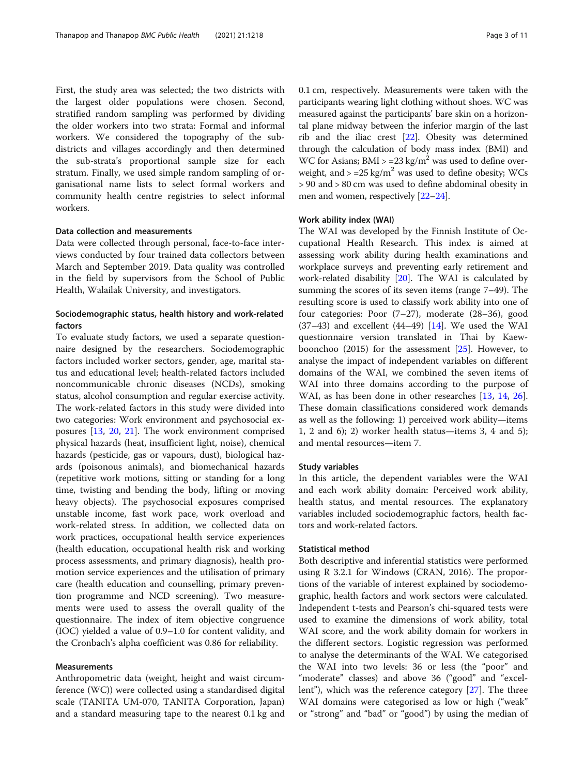First, the study area was selected; the two districts with the largest older populations were chosen. Second, stratified random sampling was performed by dividing the older workers into two strata: Formal and informal workers. We considered the topography of the subdistricts and villages accordingly and then determined the sub-strata's proportional sample size for each stratum. Finally, we used simple random sampling of organisational name lists to select formal workers and community health centre registries to select informal workers.

#### Data collection and measurements

Data were collected through personal, face-to-face interviews conducted by four trained data collectors between March and September 2019. Data quality was controlled in the field by supervisors from the School of Public Health, Walailak University, and investigators.

# Sociodemographic status, health history and work-related factors

To evaluate study factors, we used a separate questionnaire designed by the researchers. Sociodemographic factors included worker sectors, gender, age, marital status and educational level; health-related factors included noncommunicable chronic diseases (NCDs), smoking status, alcohol consumption and regular exercise activity. The work-related factors in this study were divided into two categories: Work environment and psychosocial exposures [\[13](#page-10-0), [20](#page-10-0), [21](#page-10-0)]. The work environment comprised physical hazards (heat, insufficient light, noise), chemical hazards (pesticide, gas or vapours, dust), biological hazards (poisonous animals), and biomechanical hazards (repetitive work motions, sitting or standing for a long time, twisting and bending the body, lifting or moving heavy objects). The psychosocial exposures comprised unstable income, fast work pace, work overload and work-related stress. In addition, we collected data on work practices, occupational health service experiences (health education, occupational health risk and working process assessments, and primary diagnosis), health promotion service experiences and the utilisation of primary care (health education and counselling, primary prevention programme and NCD screening). Two measurements were used to assess the overall quality of the questionnaire. The index of item objective congruence (IOC) yielded a value of 0.9–1.0 for content validity, and the Cronbach's alpha coefficient was 0.86 for reliability.

# Measurements

Anthropometric data (weight, height and waist circumference (WC)) were collected using a standardised digital scale (TANITA UM-070, TANITA Corporation, Japan) and a standard measuring tape to the nearest 0.1 kg and 0.1 cm, respectively. Measurements were taken with the participants wearing light clothing without shoes. WC was measured against the participants' bare skin on a horizontal plane midway between the inferior margin of the last rib and the iliac crest [\[22](#page-10-0)]. Obesity was determined through the calculation of body mass index (BMI) and WC for Asians;  $BMI > = 23 \text{ kg/m}^2$  was used to define overweight, and  $> = 25 \text{ kg/m}^2$  was used to define obesity; WCs > 90 and > 80 cm was used to define abdominal obesity in men and women, respectively [[22](#page-10-0)–[24\]](#page-10-0).

#### Work ability index (WAI)

The WAI was developed by the Finnish Institute of Occupational Health Research. This index is aimed at assessing work ability during health examinations and workplace surveys and preventing early retirement and work-related disability [[20\]](#page-10-0). The WAI is calculated by summing the scores of its seven items (range 7–49). The resulting score is used to classify work ability into one of four categories: Poor (7–27), moderate (28–36), good  $(37-43)$  and excellent  $(44-49)$  [\[14\]](#page-10-0). We used the WAI questionnaire version translated in Thai by Kaewboonchoo (2015) for the assessment [\[25](#page-10-0)]. However, to analyse the impact of independent variables on different domains of the WAI, we combined the seven items of WAI into three domains according to the purpose of WAI, as has been done in other researches [\[13](#page-10-0), [14,](#page-10-0) [26](#page-10-0)]. These domain classifications considered work demands as well as the following: 1) perceived work ability—items 1, 2 and 6); 2) worker health status—items 3, 4 and 5); and mental resources—item 7.

#### Study variables

In this article, the dependent variables were the WAI and each work ability domain: Perceived work ability, health status, and mental resources. The explanatory variables included sociodemographic factors, health factors and work-related factors.

### Statistical method

Both descriptive and inferential statistics were performed using R 3.2.1 for Windows (CRAN, 2016). The proportions of the variable of interest explained by sociodemographic, health factors and work sectors were calculated. Independent t-tests and Pearson's chi-squared tests were used to examine the dimensions of work ability, total WAI score, and the work ability domain for workers in the different sectors. Logistic regression was performed to analyse the determinants of the WAI. We categorised the WAI into two levels: 36 or less (the "poor" and "moderate" classes) and above 36 ("good" and "excellent"), which was the reference category [[27\]](#page-10-0). The three WAI domains were categorised as low or high ("weak" or "strong" and "bad" or "good") by using the median of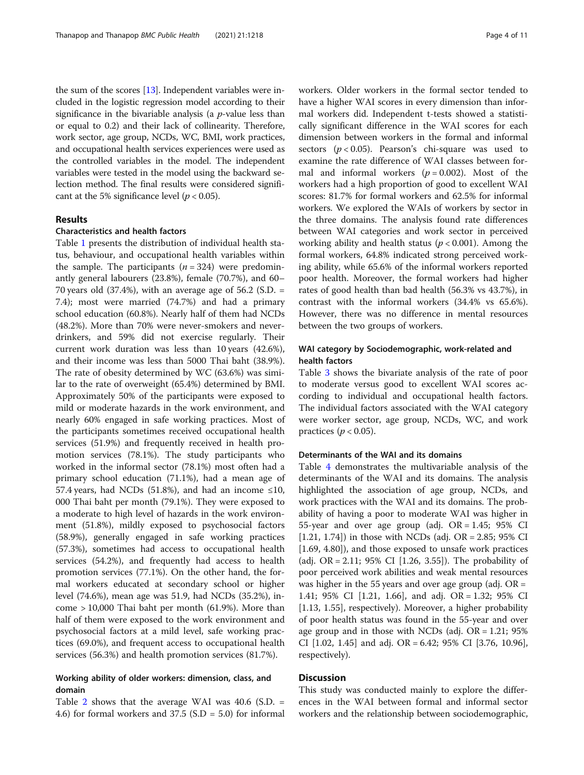the sum of the scores [[13](#page-10-0)]. Independent variables were included in the logistic regression model according to their significance in the bivariable analysis (a  $p$ -value less than or equal to 0.2) and their lack of collinearity. Therefore, work sector, age group, NCDs, WC, BMI, work practices, and occupational health services experiences were used as the controlled variables in the model. The independent variables were tested in the model using the backward selection method. The final results were considered significant at the 5% significance level ( $p < 0.05$ ).

# Results

#### Characteristics and health factors

Table [1](#page-4-0) presents the distribution of individual health status, behaviour, and occupational health variables within the sample. The participants  $(n = 324)$  were predominantly general labourers (23.8%), female (70.7%), and 60– 70 years old (37.4%), with an average age of 56.2 (S.D. = 7.4); most were married (74.7%) and had a primary school education (60.8%). Nearly half of them had NCDs (48.2%). More than 70% were never-smokers and neverdrinkers, and 59% did not exercise regularly. Their current work duration was less than 10 years (42.6%), and their income was less than 5000 Thai baht (38.9%). The rate of obesity determined by WC (63.6%) was similar to the rate of overweight (65.4%) determined by BMI. Approximately 50% of the participants were exposed to mild or moderate hazards in the work environment, and nearly 60% engaged in safe working practices. Most of the participants sometimes received occupational health services (51.9%) and frequently received in health promotion services (78.1%). The study participants who worked in the informal sector (78.1%) most often had a primary school education (71.1%), had a mean age of 57.4 years, had NCDs (51.8%), and had an income  $\leq 10$ , 000 Thai baht per month (79.1%). They were exposed to a moderate to high level of hazards in the work environment (51.8%), mildly exposed to psychosocial factors (58.9%), generally engaged in safe working practices (57.3%), sometimes had access to occupational health services (54.2%), and frequently had access to health promotion services (77.1%). On the other hand, the formal workers educated at secondary school or higher level (74.6%), mean age was 51.9, had NCDs (35.2%), income > 10,000 Thai baht per month (61.9%). More than half of them were exposed to the work environment and psychosocial factors at a mild level, safe working practices (69.0%), and frequent access to occupational health services (56.3%) and health promotion services (81.7%).

# Working ability of older workers: dimension, class, and domain

Table [2](#page-6-0) shows that the average WAI was  $40.6$  (S.D. = 4.6) for formal workers and 37.5 (S.D = 5.0) for informal

workers. Older workers in the formal sector tended to have a higher WAI scores in every dimension than informal workers did. Independent t-tests showed a statistically significant difference in the WAI scores for each dimension between workers in the formal and informal sectors ( $p < 0.05$ ). Pearson's chi-square was used to examine the rate difference of WAI classes between formal and informal workers ( $p = 0.002$ ). Most of the workers had a high proportion of good to excellent WAI scores: 81.7% for formal workers and 62.5% for informal workers. We explored the WAIs of workers by sector in the three domains. The analysis found rate differences between WAI categories and work sector in perceived working ability and health status ( $p < 0.001$ ). Among the formal workers, 64.8% indicated strong perceived working ability, while 65.6% of the informal workers reported poor health. Moreover, the formal workers had higher rates of good health than bad health (56.3% vs 43.7%), in contrast with the informal workers (34.4% vs 65.6%). However, there was no difference in mental resources between the two groups of workers.

# WAI category by Sociodemographic, work-related and health factors

Table [3](#page-7-0) shows the bivariate analysis of the rate of poor to moderate versus good to excellent WAI scores according to individual and occupational health factors. The individual factors associated with the WAI category were worker sector, age group, NCDs, WC, and work practices ( $p < 0.05$ ).

# Determinants of the WAI and its domains

Table [4](#page-8-0) demonstrates the multivariable analysis of the determinants of the WAI and its domains. The analysis highlighted the association of age group, NCDs, and work practices with the WAI and its domains. The probability of having a poor to moderate WAI was higher in 55-year and over age group (adj.  $OR = 1.45$ ; 95% CI [1.21, 1.74]) in those with NCDs (adj. OR = 2.85;  $95\%$  CI [1.69, 4.80]), and those exposed to unsafe work practices (adj. OR = 2.11; 95% CI [1.26, 3.55]). The probability of poor perceived work abilities and weak mental resources was higher in the 55 years and over age group (adj.  $OR =$ 1.41; 95% CI [1.21, 1.66], and adj. OR = 1.32; 95% CI [1.13, 1.55], respectively). Moreover, a higher probability of poor health status was found in the 55-year and over age group and in those with NCDs (adj.  $OR = 1.21$ ; 95% CI  $[1.02, 1.45]$  and adj. OR = 6.42; 95% CI  $[3.76, 10.96]$ , respectively).

# **Discussion**

This study was conducted mainly to explore the differences in the WAI between formal and informal sector workers and the relationship between sociodemographic,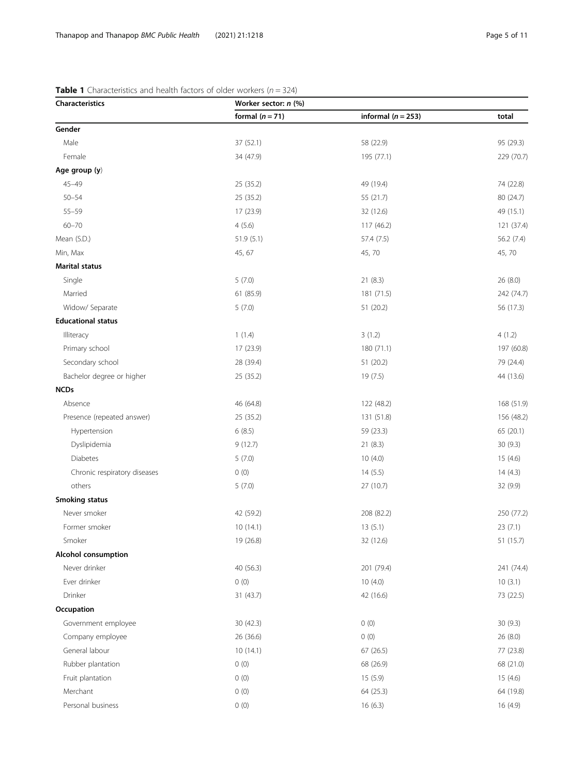# <span id="page-4-0"></span>**Table 1** Characteristics and health factors of older workers ( $n = 324$ )

| Characteristics              | Worker sector: n (%) |                        |            |  |
|------------------------------|----------------------|------------------------|------------|--|
|                              | formal $(n = 71)$    | informal ( $n = 253$ ) | total      |  |
| Gender                       |                      |                        |            |  |
| Male                         | 37 (52.1)            | 58 (22.9)              | 95 (29.3)  |  |
| Female                       | 34 (47.9)            | 195 (77.1)             | 229 (70.7) |  |
| Age group (y)                |                      |                        |            |  |
| $45 - 49$                    | 25 (35.2)            | 49 (19.4)              | 74 (22.8)  |  |
| $50 - 54$                    | 25 (35.2)            | 55 (21.7)              | 80 (24.7)  |  |
| $55 - 59$                    | 17 (23.9)            | 32 (12.6)              | 49 (15.1)  |  |
| $60 - 70$                    | 4(5.6)               | 117(46.2)              | 121 (37.4) |  |
| Mean (S.D.)                  | 51.9(5.1)            | 57.4 (7.5)             | 56.2 (7.4) |  |
| Min, Max                     | 45, 67               | 45,70                  | 45,70      |  |
| <b>Marital status</b>        |                      |                        |            |  |
| Single                       | 5(7.0)               | 21(8.3)                | 26(8.0)    |  |
| Married                      | 61 (85.9)            | 181 (71.5)             | 242 (74.7) |  |
| Widow/ Separate              | 5(7.0)               | 51 (20.2)              | 56 (17.3)  |  |
| <b>Educational status</b>    |                      |                        |            |  |
| Illiteracy                   | 1(1.4)               | 3(1.2)                 | 4(1.2)     |  |
| Primary school               | 17 (23.9)            | 180 (71.1)             | 197 (60.8) |  |
| Secondary school             | 28 (39.4)            | 51 (20.2)              | 79 (24.4)  |  |
| Bachelor degree or higher    | 25 (35.2)            | 19 (7.5)               | 44 (13.6)  |  |
| <b>NCDs</b>                  |                      |                        |            |  |
| Absence                      | 46 (64.8)            | 122 (48.2)             | 168 (51.9) |  |
| Presence (repeated answer)   | 25 (35.2)            | 131 (51.8)             | 156 (48.2) |  |
| Hypertension                 | 6(8.5)               | 59 (23.3)              | 65 (20.1)  |  |
| Dyslipidemia                 | 9(12.7)              | 21(8.3)                | 30(9.3)    |  |
| Diabetes                     | 5(7.0)               | 10(4.0)                | 15(4.6)    |  |
| Chronic respiratory diseases | 0(0)                 | 14(5.5)                | 14(4.3)    |  |
| others                       | 5(7.0)               | 27 (10.7)              | 32 (9.9)   |  |
| <b>Smoking status</b>        |                      |                        |            |  |
| Never smoker                 | 42 (59.2)            | 208 (82.2)             | 250 (77.2) |  |
| Former smoker                | 10(14.1)             | 13(5.1)                | 23(7.1)    |  |
| Smoker                       | 19 (26.8)            | 32 (12.6)              | 51 (15.7)  |  |
| <b>Alcohol consumption</b>   |                      |                        |            |  |
| Never drinker                | 40 (56.3)            | 201 (79.4)             | 241 (74.4) |  |
| Ever drinker                 | 0(0)                 | 10(4.0)                | 10(3.1)    |  |
| Drinker                      | 31 (43.7)            | 42 (16.6)              | 73 (22.5)  |  |
| Occupation                   |                      |                        |            |  |
| Government employee          | 30 (42.3)            | 0(0)                   | 30 (9.3)   |  |
| Company employee             | 26 (36.6)            | 0(0)                   | 26 (8.0)   |  |
| General labour               | 10(14.1)             | 67 (26.5)<br>77 (23.8) |            |  |
| Rubber plantation            | 0(0)                 | 68 (26.9)              | 68 (21.0)  |  |
| Fruit plantation             | 0(0)                 | 15 (5.9)               | 15(4.6)    |  |
| Merchant                     | 0(0)                 | 64 (25.3)              | 64 (19.8)  |  |
| Personal business            | 0(0)                 | 16(6.3)                | 16 (4.9)   |  |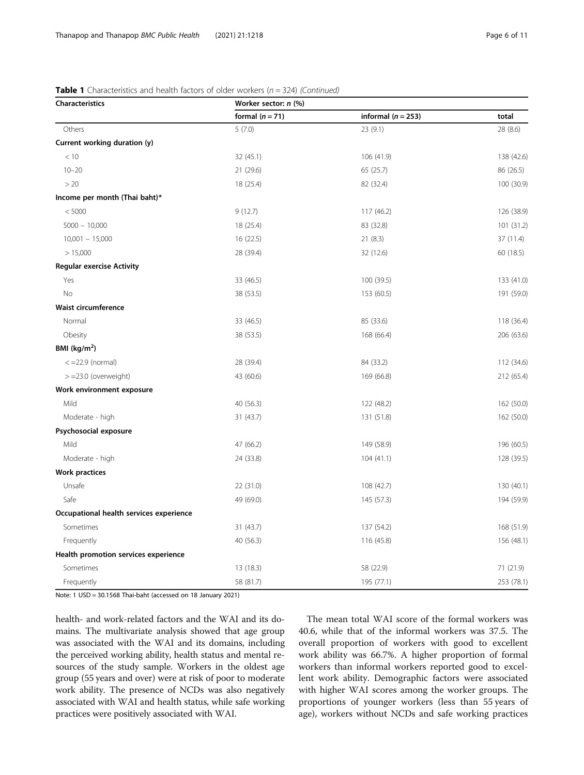| Characteristics                         | Worker sector: n (%)    |                      |            |  |
|-----------------------------------------|-------------------------|----------------------|------------|--|
|                                         | formal $(n = 71)$       | informal $(n = 253)$ | total      |  |
| Others                                  | 5(7.0)                  | 23(9.1)              | 28 (8.6)   |  |
| Current working duration (y)            |                         |                      |            |  |
| < 10                                    | 32(45.1)                | 106(41.9)            | 138 (42.6) |  |
| $10 - 20$                               | 21 (29.6)               | 65 (25.7)            | 86 (26.5)  |  |
| >20                                     | 18 (25.4)               | 82 (32.4)            | 100 (30.9) |  |
| Income per month (Thai baht)*           |                         |                      |            |  |
| < 5000                                  | 9(12.7)                 | 117 (46.2)           | 126 (38.9) |  |
| $5000 - 10,000$                         | 18 (25.4)               | 83 (32.8)            | 101 (31.2) |  |
| $10,001 - 15,000$                       | 16(22.5)                | 21(8.3)              | 37 (11.4)  |  |
| > 15,000                                | 28 (39.4)               | 32 (12.6)            | 60 (18.5)  |  |
| <b>Regular exercise Activity</b>        |                         |                      |            |  |
| Yes                                     | 33 (46.5)               | 100 (39.5)           | 133 (41.0) |  |
| <b>No</b>                               | 38 (53.5)               | 153 (60.5)           | 191 (59.0) |  |
| Waist circumference                     |                         |                      |            |  |
| Normal                                  | 33 (46.5)               | 85 (33.6)            | 118 (36.4) |  |
| Obesity                                 | 38 (53.5)               | 168 (66.4)           | 206 (63.6) |  |
| BMI (kg/m <sup>2</sup> )                |                         |                      |            |  |
| $\langle$ =22.9 (normal)                | 28 (39.4)               | 84 (33.2)            | 112 (34.6) |  |
| $> = 23.0$ (overweight)                 | 43 (60.6)               | 169 (66.8)           | 212 (65.4) |  |
| Work environment exposure               |                         |                      |            |  |
| Mild                                    | 40 (56.3)               | 122 (48.2)           | 162 (50.0) |  |
| Moderate - high                         | 31(43.7)                | 131 (51.8)           | 162 (50.0) |  |
| Psychosocial exposure                   |                         |                      |            |  |
| Mild                                    | 47 (66.2)<br>149 (58.9) |                      | 196 (60.5) |  |
| Moderate - high                         | 24 (33.8)               | 104(41.1)            | 128 (39.5) |  |
| <b>Work practices</b>                   |                         |                      |            |  |
| Unsafe                                  | 22 (31.0)               | 108 (42.7)           | 130 (40.1) |  |
| Safe                                    | 49 (69.0)               | 145 (57.3)           | 194 (59.9) |  |
| Occupational health services experience |                         |                      |            |  |
| Sometimes                               | 31(43.7)                | 137 (54.2)           | 168 (51.9) |  |
| Frequently                              | 40 (56.3)               | 116 (45.8)           | 156 (48.1) |  |
| Health promotion services experience    |                         |                      |            |  |
| Sometimes                               | 13 (18.3)               | 58 (22.9)            | 71 (21.9)  |  |
| Frequently                              | 58 (81.7)               | 195 (77.1)           | 253 (78.1) |  |

# **Table 1** Characteristics and health factors of older workers ( $n = 324$ ) (Continued)

Note: 1 USD = 30.1568 Thai-baht (accessed on 18 January 2021)

health- and work-related factors and the WAI and its domains. The multivariate analysis showed that age group was associated with the WAI and its domains, including the perceived working ability, health status and mental resources of the study sample. Workers in the oldest age group (55 years and over) were at risk of poor to moderate work ability. The presence of NCDs was also negatively associated with WAI and health status, while safe working practices were positively associated with WAI.

The mean total WAI score of the formal workers was 40.6, while that of the informal workers was 37.5. The overall proportion of workers with good to excellent work ability was 66.7%. A higher proportion of formal workers than informal workers reported good to excellent work ability. Demographic factors were associated with higher WAI scores among the worker groups. The proportions of younger workers (less than 55 years of age), workers without NCDs and safe working practices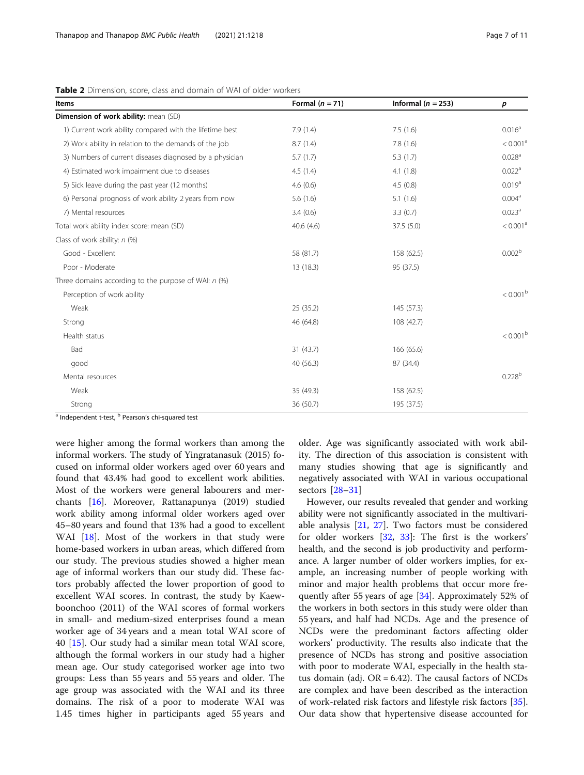| <b>Items</b>                                            | Formal $(n = 71)$ | Informal ( $n = 253$ ) | р                      |
|---------------------------------------------------------|-------------------|------------------------|------------------------|
| Dimension of work ability: mean (SD)                    |                   |                        |                        |
| 1) Current work ability compared with the lifetime best | 7.9(1.4)          | 7.5(1.6)               | 0.016 <sup>a</sup>     |
| 2) Work ability in relation to the demands of the job   | 8.7(1.4)          | 7.8(1.6)               | < 0.001 <sup>a</sup>   |
| 3) Numbers of current diseases diagnosed by a physician | 5.7(1.7)          | 5.3(1.7)               | 0.028 <sup>a</sup>     |
| 4) Estimated work impairment due to diseases            | 4.5(1.4)          | 4.1(1.8)               | 0.022 <sup>a</sup>     |
| 5) Sick leave during the past year (12 months)          | 4.6(0.6)          | 4.5(0.8)               | 0.019 <sup>a</sup>     |
| 6) Personal prognosis of work ability 2 years from now  | 5.6(1.6)          | 5.1(1.6)               | 0.004 <sup>a</sup>     |
| 7) Mental resources                                     | 3.4(0.6)          | 3.3(0.7)               | 0.023 <sup>a</sup>     |
| Total work ability index score: mean (SD)               | 40.6(4.6)         | 37.5 (5.0)             | < 0.001 <sup>a</sup>   |
| Class of work ability: n (%)                            |                   |                        |                        |
| Good - Excellent                                        | 58 (81.7)         | 158 (62.5)             | 0.002 <sup>b</sup>     |
| Poor - Moderate                                         | 13 (18.3)         | 95 (37.5)              |                        |
| Three domains according to the purpose of WAI: $n$ (%)  |                   |                        |                        |
| Perception of work ability                              |                   |                        | $< 0.001^{\rm b}$      |
| Weak                                                    | 25 (35.2)         | 145 (57.3)             |                        |
| Strong                                                  | 46 (64.8)         | 108 (42.7)             |                        |
| Health status                                           |                   |                        | $< 0.001^{\mathrm{b}}$ |
| Bad                                                     | 31 (43.7)         | 166 (65.6)             |                        |
| good                                                    | 40 (56.3)         | 87 (34.4)              |                        |
| Mental resources                                        |                   |                        | 0.228 <sup>b</sup>     |
| Weak                                                    | 35 (49.3)         | 158 (62.5)             |                        |
| Strong                                                  | 36 (50.7)         | 195 (37.5)             |                        |

<span id="page-6-0"></span>Table 2 Dimension, score, class and domain of WAI of older workers

<sup>a</sup> Independent t-test, <sup>b</sup> Pearson's chi-squared test

were higher among the formal workers than among the informal workers. The study of Yingratanasuk (2015) focused on informal older workers aged over 60 years and found that 43.4% had good to excellent work abilities. Most of the workers were general labourers and merchants [\[16](#page-10-0)]. Moreover, Rattanapunya (2019) studied work ability among informal older workers aged over 45–80 years and found that 13% had a good to excellent WAI [\[18](#page-10-0)]. Most of the workers in that study were home-based workers in urban areas, which differed from our study. The previous studies showed a higher mean age of informal workers than our study did. These factors probably affected the lower proportion of good to excellent WAI scores. In contrast, the study by Kaewboonchoo (2011) of the WAI scores of formal workers in small- and medium-sized enterprises found a mean worker age of 34 years and a mean total WAI score of 40 [\[15](#page-10-0)]. Our study had a similar mean total WAI score, although the formal workers in our study had a higher mean age. Our study categorised worker age into two groups: Less than 55 years and 55 years and older. The age group was associated with the WAI and its three domains. The risk of a poor to moderate WAI was 1.45 times higher in participants aged 55 years and

older. Age was significantly associated with work ability. The direction of this association is consistent with many studies showing that age is significantly and negatively associated with WAI in various occupational sectors [\[28](#page-10-0)–[31\]](#page-10-0)

However, our results revealed that gender and working ability were not significantly associated in the multivariable analysis [[21](#page-10-0), [27\]](#page-10-0). Two factors must be considered for older workers [[32](#page-10-0), [33](#page-10-0)]: The first is the workers' health, and the second is job productivity and performance. A larger number of older workers implies, for example, an increasing number of people working with minor and major health problems that occur more frequently after 55 years of age [[34\]](#page-10-0). Approximately 52% of the workers in both sectors in this study were older than 55 years, and half had NCDs. Age and the presence of NCDs were the predominant factors affecting older workers' productivity. The results also indicate that the presence of NCDs has strong and positive association with poor to moderate WAI, especially in the health status domain (adj.  $OR = 6.42$ ). The causal factors of NCDs are complex and have been described as the interaction of work-related risk factors and lifestyle risk factors [\[35](#page-10-0)]. Our data show that hypertensive disease accounted for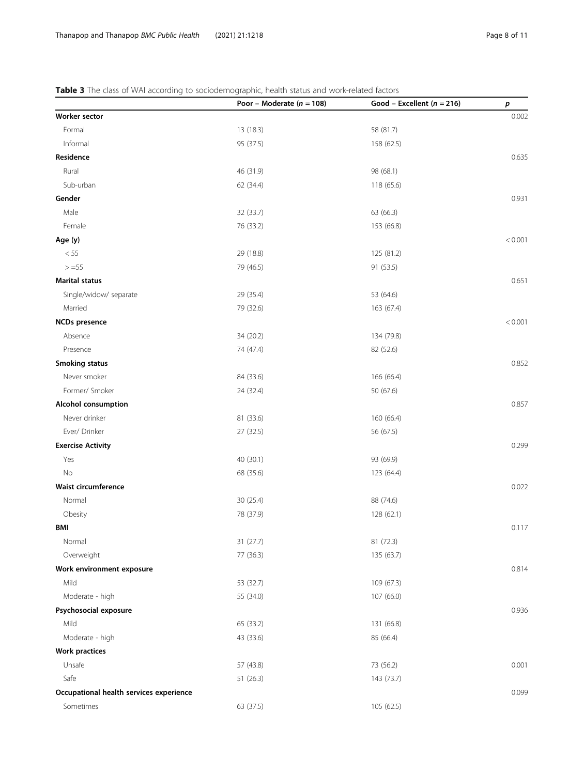# <span id="page-7-0"></span>Table 3 The class of WAI according to sociodemographic, health status and work-related factors

|                                         | Poor - Moderate ( $n = 108$ ) | Good - Excellent ( $n = 216$ ) | р       |
|-----------------------------------------|-------------------------------|--------------------------------|---------|
| Worker sector                           |                               |                                | 0.002   |
| Formal                                  | 13 (18.3)                     | 58 (81.7)                      |         |
| Informal                                | 95 (37.5)                     | 158 (62.5)                     |         |
| Residence                               |                               |                                | 0.635   |
| Rural                                   | 46 (31.9)                     | 98 (68.1)                      |         |
| Sub-urban                               | 62 (34.4)                     | 118 (65.6)                     |         |
| Gender                                  |                               |                                | 0.931   |
| Male                                    | 32 (33.7)                     | 63 (66.3)                      |         |
| Female                                  | 76 (33.2)                     | 153 (66.8)                     |         |
| Age (y)                                 |                               |                                | < 0.001 |
| < 55                                    | 29 (18.8)                     | 125 (81.2)                     |         |
| $> = 55$                                | 79 (46.5)                     | 91 (53.5)                      |         |
| <b>Marital status</b>                   |                               |                                | 0.651   |
| Single/widow/ separate                  | 29 (35.4)                     | 53 (64.6)                      |         |
| Married                                 | 79 (32.6)                     | 163 (67.4)                     |         |
| <b>NCDs</b> presence                    |                               |                                | < 0.001 |
| Absence                                 | 34 (20.2)                     | 134 (79.8)                     |         |
| Presence                                | 74 (47.4)                     | 82 (52.6)                      |         |
| <b>Smoking status</b>                   |                               |                                | 0.852   |
| Never smoker                            | 84 (33.6)                     | 166 (66.4)                     |         |
| Former/ Smoker                          | 24 (32.4)                     | 50 (67.6)                      |         |
| Alcohol consumption                     |                               |                                | 0.857   |
| Never drinker                           | 81 (33.6)                     | 160 (66.4)                     |         |
| Ever/ Drinker                           | 27 (32.5)                     | 56 (67.5)                      |         |
| <b>Exercise Activity</b>                |                               |                                | 0.299   |
| Yes                                     | 40 (30.1)                     | 93 (69.9)                      |         |
| No                                      | 68 (35.6)                     | 123 (64.4)                     |         |
| Waist circumference                     |                               |                                | 0.022   |
| Normal                                  | 30 (25.4)                     | 88 (74.6)                      |         |
| Obesity                                 | 78 (37.9)                     | 128 (62.1)                     |         |
| BMI                                     |                               |                                | 0.117   |
| Normal                                  | 31 (27.7)                     | 81 (72.3)                      |         |
| Overweight                              | 77 (36.3)                     | 135 (63.7)                     |         |
| Work environment exposure               |                               |                                | 0.814   |
| Mild                                    | 53 (32.7)                     | 109 (67.3)                     |         |
| Moderate - high                         | 55 (34.0)                     | 107 (66.0)                     |         |
| Psychosocial exposure                   |                               |                                | 0.936   |
| Mild                                    | 65 (33.2)                     | 131 (66.8)                     |         |
| Moderate - high                         | 43 (33.6)                     | 85 (66.4)                      |         |
| <b>Work practices</b>                   |                               |                                |         |
| Unsafe                                  | 57 (43.8)                     | 73 (56.2)                      | 0.001   |
| Safe                                    | 51(26.3)                      | 143 (73.7)                     |         |
| Occupational health services experience |                               |                                | 0.099   |
| Sometimes                               | 63 (37.5)                     | 105 (62.5)                     |         |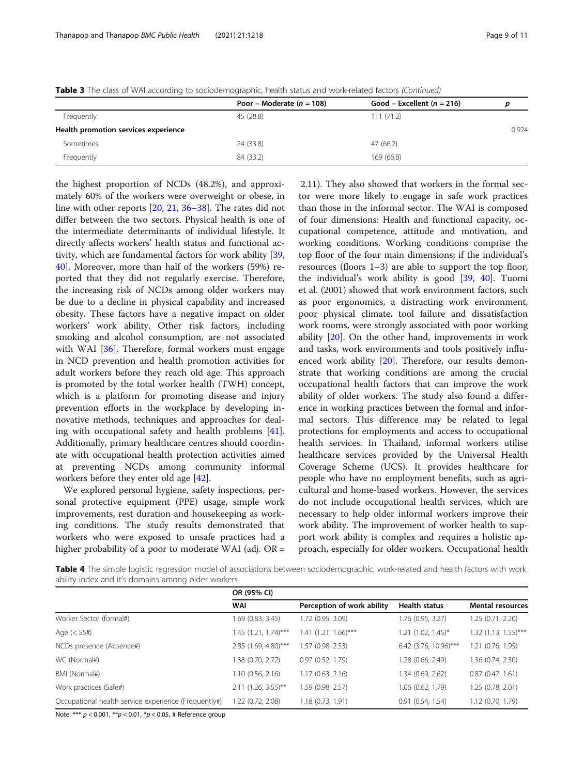<span id="page-8-0"></span>

|  | Table 3 The class of WAI according to sociodemographic, health status and work-related factors (Continued) |  |  |
|--|------------------------------------------------------------------------------------------------------------|--|--|
|  |                                                                                                            |  |  |

|                                      | Poor – Moderate ( $n = 108$ ) | Good – Excellent ( $n = 216$ ) |       |
|--------------------------------------|-------------------------------|--------------------------------|-------|
| Frequently                           | 45 (28.8)                     | 111(71.2)                      |       |
| Health promotion services experience |                               |                                | 0.924 |
| Sometimes                            | 24 (33.8)                     | 47(66.2)                       |       |
| Frequently                           | 84 (33.2)                     | 169 (66.8)                     |       |

the highest proportion of NCDs (48.2%), and approximately 60% of the workers were overweight or obese, in line with other reports [\[20](#page-10-0), [21](#page-10-0), [36](#page-10-0)–[38\]](#page-10-0). The rates did not differ between the two sectors. Physical health is one of the intermediate determinants of individual lifestyle. It directly affects workers' health status and functional activity, which are fundamental factors for work ability [[39](#page-10-0), [40\]](#page-10-0). Moreover, more than half of the workers (59%) reported that they did not regularly exercise. Therefore, the increasing risk of NCDs among older workers may be due to a decline in physical capability and increased obesity. These factors have a negative impact on older workers' work ability. Other risk factors, including smoking and alcohol consumption, are not associated with WAI [[36\]](#page-10-0). Therefore, formal workers must engage in NCD prevention and health promotion activities for adult workers before they reach old age. This approach is promoted by the total worker health (TWH) concept, which is a platform for promoting disease and injury prevention efforts in the workplace by developing innovative methods, techniques and approaches for dealing with occupational safety and health problems [\[41](#page-10-0)]. Additionally, primary healthcare centres should coordinate with occupational health protection activities aimed at preventing NCDs among community informal workers before they enter old age [\[42](#page-10-0)].

We explored personal hygiene, safety inspections, personal protective equipment (PPE) usage, simple work improvements, rest duration and housekeeping as working conditions. The study results demonstrated that workers who were exposed to unsafe practices had a higher probability of a poor to moderate WAI (adj. OR =

2.11). They also showed that workers in the formal sector were more likely to engage in safe work practices than those in the informal sector. The WAI is composed of four dimensions: Health and functional capacity, occupational competence, attitude and motivation, and working conditions. Working conditions comprise the top floor of the four main dimensions; if the individual's resources (floors 1–3) are able to support the top floor, the individual's work ability is good [\[39](#page-10-0), [40\]](#page-10-0). Tuomi et al. (2001) showed that work environment factors, such as poor ergonomics, a distracting work environment, poor physical climate, tool failure and dissatisfaction work rooms, were strongly associated with poor working ability [[20\]](#page-10-0). On the other hand, improvements in work and tasks, work environments and tools positively influ-enced work ability [\[20](#page-10-0)]. Therefore, our results demonstrate that working conditions are among the crucial occupational health factors that can improve the work ability of older workers. The study also found a difference in working practices between the formal and informal sectors. This difference may be related to legal protections for employments and access to occupational health services. In Thailand, informal workers utilise healthcare services provided by the Universal Health Coverage Scheme (UCS). It provides healthcare for people who have no employment benefits, such as agricultural and home-based workers. However, the services do not include occupational health services, which are necessary to help older informal workers improve their work ability. The improvement of worker health to support work ability is complex and requires a holistic approach, especially for older workers. Occupational health

Table 4 The simple logistic regression model of associations between sociodemographic, work-related and health factors with work ability index and it's domains among older workers

|                                                      | OR (95% CI)            |                            |                         |                         |
|------------------------------------------------------|------------------------|----------------------------|-------------------------|-------------------------|
|                                                      | WAI                    | Perception of work ability | <b>Health status</b>    | <b>Mental resources</b> |
| Worker Sector (formal#)                              | 1.69 (0.83, 3.45)      | 1.72 (0.95, 3.09)          | 1.76 (0.95, 3.27)       | 1.25(0.71, 2.20)        |
| Age $(< 55#)$                                        | $1.45$ (1.21, 1.74)*** | $1.41$ (1.21, 1.66)***     | 1.21 (1.02, 1.45)*      | $1.32$ (1.13, 1.55)***  |
| NCDs presence (Absence#)                             | 2.85 (1.69, 4.80)***   | 1.57(0.98, 2.53)           | $6.42$ (3.76, 10.96)*** | 1.21 (0.76, 1.95)       |
| WC (Normal#)                                         | 1.38 (0.70, 2.72)      | 0.97(0.52, 1.79)           | .28 (0.66, 2.49)        | 1.36 (0.74, 2.50)       |
| BMI (Normal#)                                        | 1.10(0.56, 2.16)       | 1.17(0.63, 2.16)           | .34(0.69, 2.62)         | 0.87(0.47, 1.61)        |
| Work practices (Safe#)                               | $2.11$ (1.26, 3.55)**  | 1.59 (0.98, 2.57)          | 1.06 (0.62, 1.79)       | 1.25 (0.78, 2.01)       |
| Occupational health service experience (Frequently#) | 1.22 (0.72, 2.08)      | 1.18(0.73, 1.91)           | $0.91$ $(0.54, 1.54)$   | 1.12(0.70, 1.79)        |

Note: \*\*\* p < 0.001, \*\*p < 0.01, \*p < 0.05, # Reference group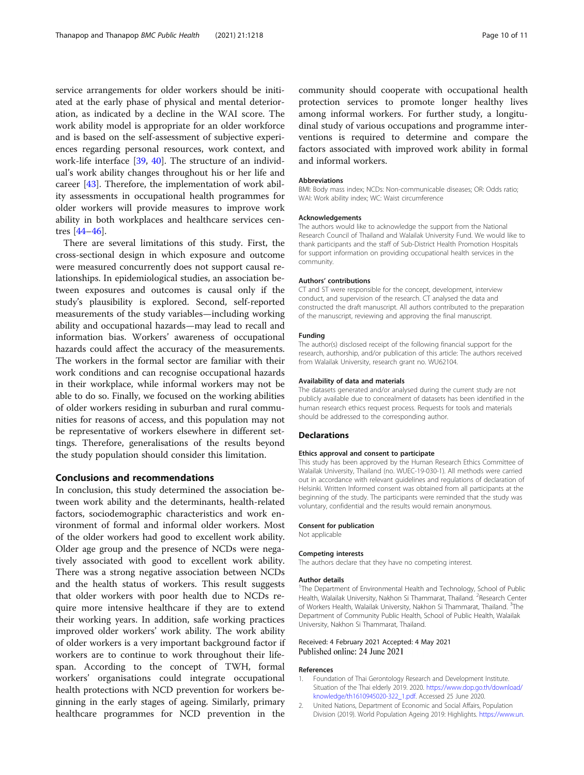<span id="page-9-0"></span>service arrangements for older workers should be initiated at the early phase of physical and mental deterioration, as indicated by a decline in the WAI score. The work ability model is appropriate for an older workforce and is based on the self-assessment of subjective experiences regarding personal resources, work context, and work-life interface [[39,](#page-10-0) [40](#page-10-0)]. The structure of an individual's work ability changes throughout his or her life and career [\[43](#page-10-0)]. Therefore, the implementation of work ability assessments in occupational health programmes for older workers will provide measures to improve work ability in both workplaces and healthcare services centres [[44](#page-10-0)–[46](#page-10-0)].

There are several limitations of this study. First, the cross-sectional design in which exposure and outcome were measured concurrently does not support causal relationships. In epidemiological studies, an association between exposures and outcomes is causal only if the study's plausibility is explored. Second, self-reported measurements of the study variables—including working ability and occupational hazards—may lead to recall and information bias. Workers' awareness of occupational hazards could affect the accuracy of the measurements. The workers in the formal sector are familiar with their work conditions and can recognise occupational hazards in their workplace, while informal workers may not be able to do so. Finally, we focused on the working abilities of older workers residing in suburban and rural communities for reasons of access, and this population may not be representative of workers elsewhere in different settings. Therefore, generalisations of the results beyond the study population should consider this limitation.

# Conclusions and recommendations

In conclusion, this study determined the association between work ability and the determinants, health-related factors, sociodemographic characteristics and work environment of formal and informal older workers. Most of the older workers had good to excellent work ability. Older age group and the presence of NCDs were negatively associated with good to excellent work ability. There was a strong negative association between NCDs and the health status of workers. This result suggests that older workers with poor health due to NCDs require more intensive healthcare if they are to extend their working years. In addition, safe working practices improved older workers' work ability. The work ability of older workers is a very important background factor if workers are to continue to work throughout their lifespan. According to the concept of TWH, formal workers' organisations could integrate occupational health protections with NCD prevention for workers beginning in the early stages of ageing. Similarly, primary healthcare programmes for NCD prevention in the

community should cooperate with occupational health protection services to promote longer healthy lives among informal workers. For further study, a longitudinal study of various occupations and programme interventions is required to determine and compare the factors associated with improved work ability in formal and informal workers.

#### Abbreviations

BMI: Body mass index; NCDs: Non-communicable diseases; OR: Odds ratio; WAI: Work ability index; WC: Waist circumference

#### Acknowledgements

The authors would like to acknowledge the support from the National Research Council of Thailand and Walailak University Fund. We would like to thank participants and the staff of Sub-District Health Promotion Hospitals for support information on providing occupational health services in the community.

#### Authors' contributions

CT and ST were responsible for the concept, development, interview conduct, and supervision of the research. CT analysed the data and constructed the draft manuscript. All authors contributed to the preparation of the manuscript, reviewing and approving the final manuscript.

#### Funding

The author(s) disclosed receipt of the following financial support for the research, authorship, and/or publication of this article: The authors received from Walailak University, research grant no. WU62104.

#### Availability of data and materials

The datasets generated and/or analysed during the current study are not publicly available due to concealment of datasets has been identified in the human research ethics request process. Requests for tools and materials should be addressed to the corresponding author.

#### Declarations

#### Ethics approval and consent to participate

This study has been approved by the Human Research Ethics Committee of Walailak University, Thailand (no. WUEC-19-030-1). All methods were carried out in accordance with relevant guidelines and regulations of declaration of Helsinki. Written Informed consent was obtained from all participants at the beginning of the study. The participants were reminded that the study was voluntary, confidential and the results would remain anonymous.

#### Consent for publication

Not applicable

#### Competing interests

The authors declare that they have no competing interest.

#### Author details

<sup>1</sup>The Department of Environmental Health and Technology, School of Public Health, Walailak University, Nakhon Si Thammarat, Thailand. <sup>2</sup>Research Center of Workers Health, Walailak University, Nakhon Si Thammarat, Thailand. <sup>3</sup>The Department of Community Public Health, School of Public Health, Walailak University, Nakhon Si Thammarat, Thailand.

#### Received: 4 February 2021 Accepted: 4 May 2021 Published online: 24 June 2021

#### References

- 1. Foundation of Thai Gerontology Research and Development Institute. Situation of the Thai elderly 2019. 2020. [https://www.dop.go.th/download/](https://www.dop.go.th/download/knowledge/th1610945020-322_1.pdf) [knowledge/th1610945020-322\\_1.pdf.](https://www.dop.go.th/download/knowledge/th1610945020-322_1.pdf) Accessed 25 June 2020.
- 2. United Nations, Department of Economic and Social Affairs, Population Division (2019). World Population Ageing 2019: Highlights. [https://www.un.](https://www.un.org/en/development/desa/population/publications/pdf/ageing/WorldPopulationAgeing2019-Highlights.pdf)